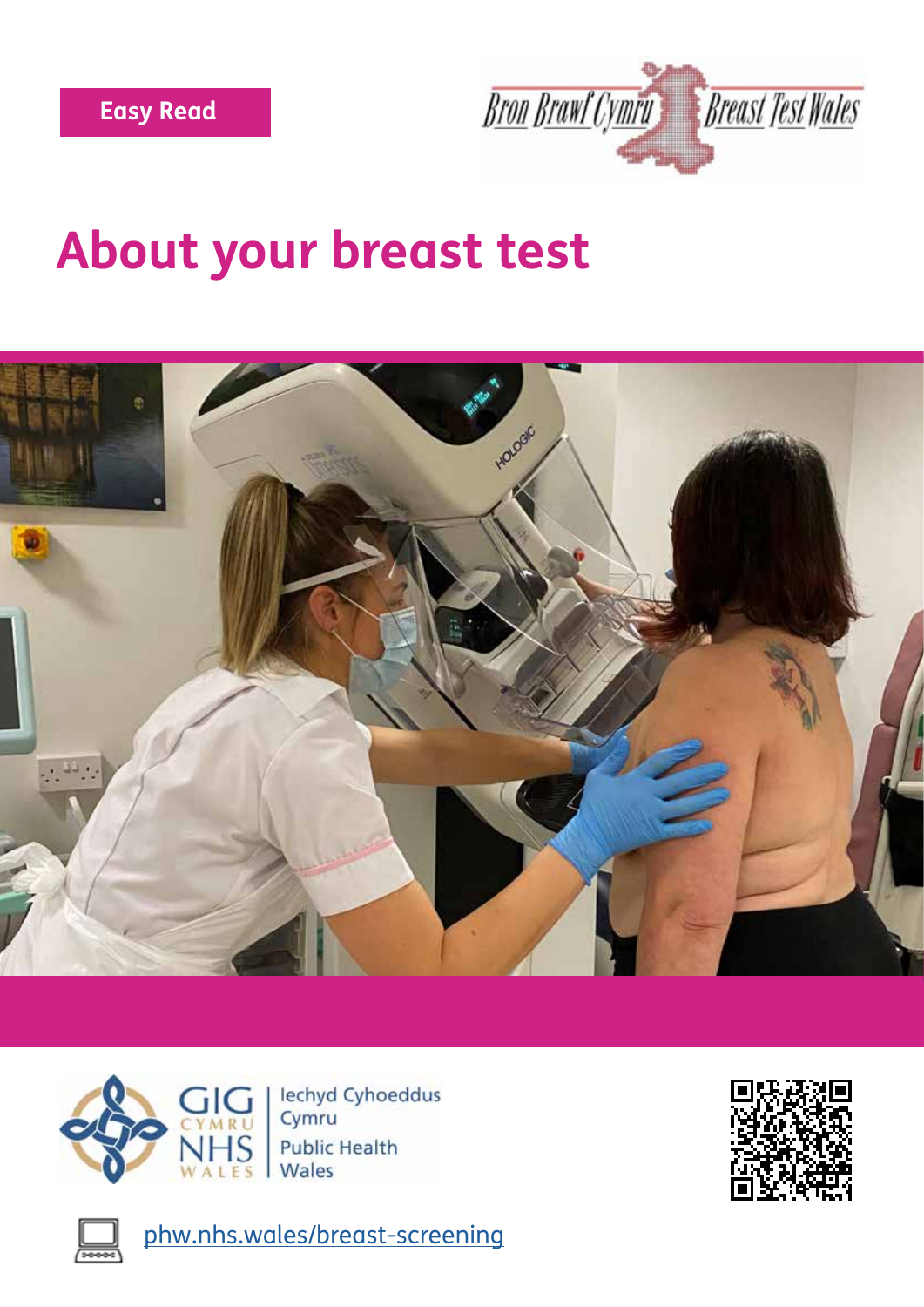





lechyd Cyhoeddus Cymru **Public Health** Wales



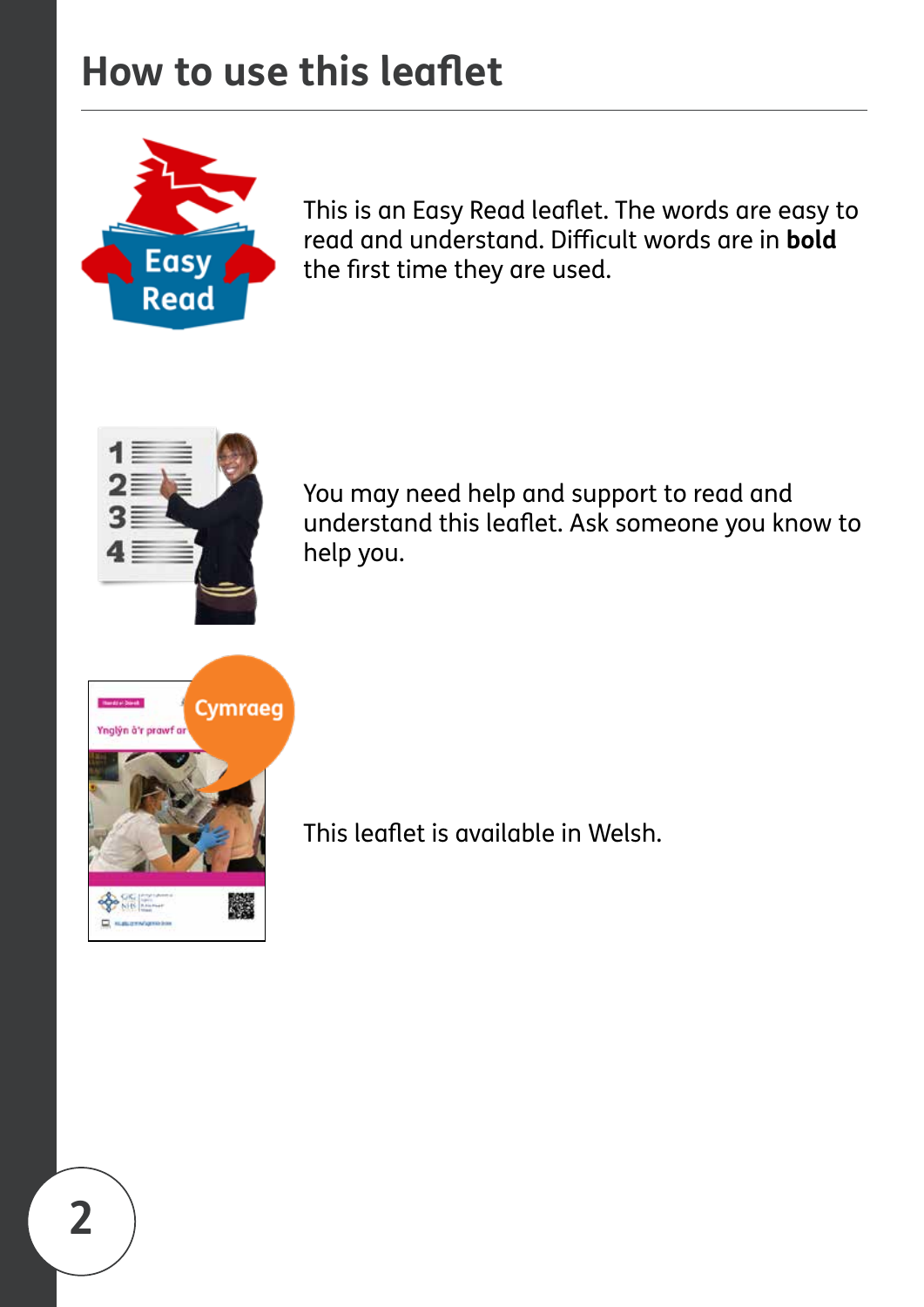## **How to use this leafet**



This is an Easy Read leaflet. The words are easy to read and understand. Difficult words are in **bold** the frst time they are used.



You may need help and support to read and understand this leafet. Ask someone you know to help you.



This leafet is available in Welsh.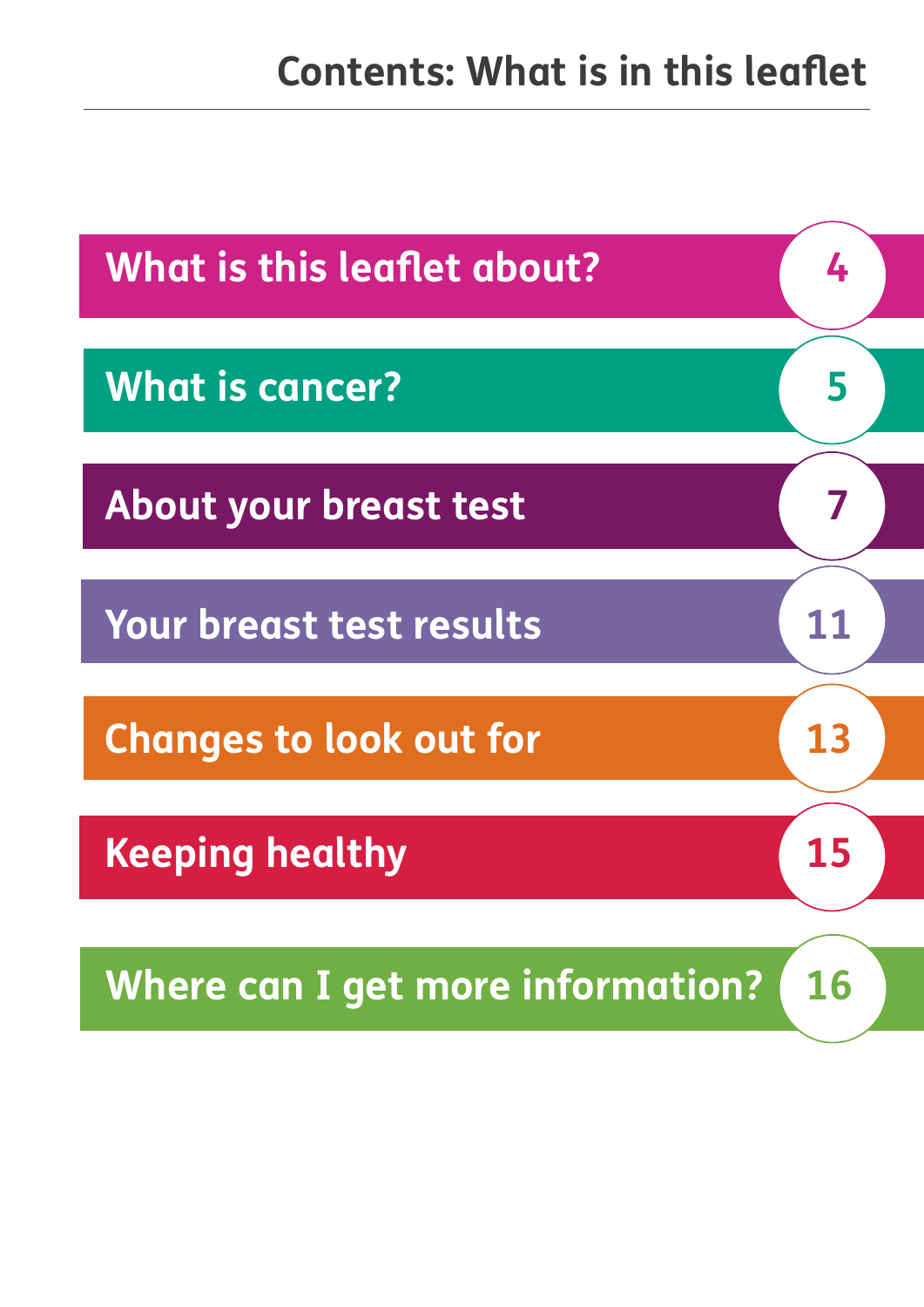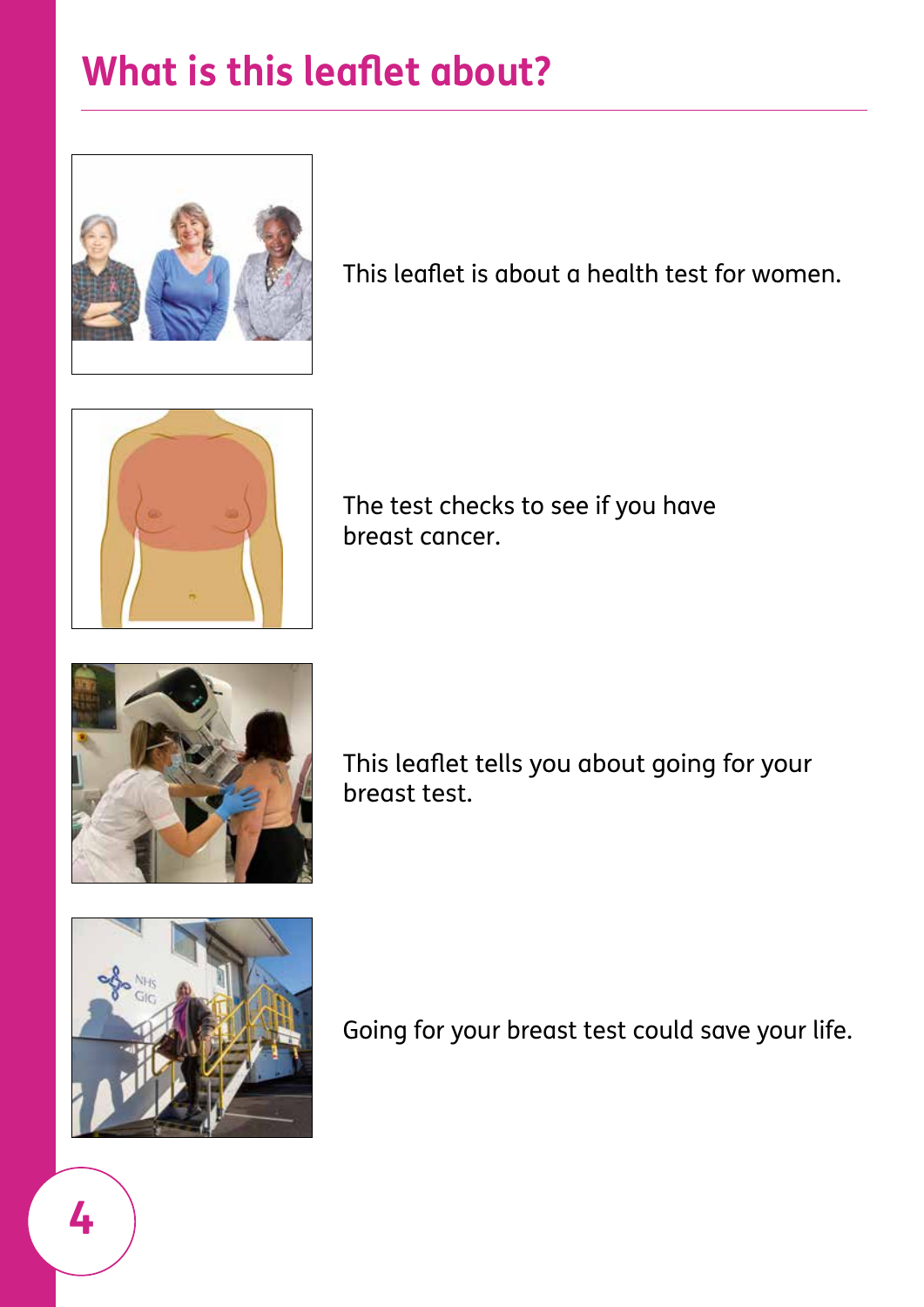# <span id="page-3-0"></span>**What is this leafet about?**



This leafet is about a health test for women.



The test checks to see if you have breast cancer.



This leafet tells you about going for your breast test.



Going for your breast test could save your life.

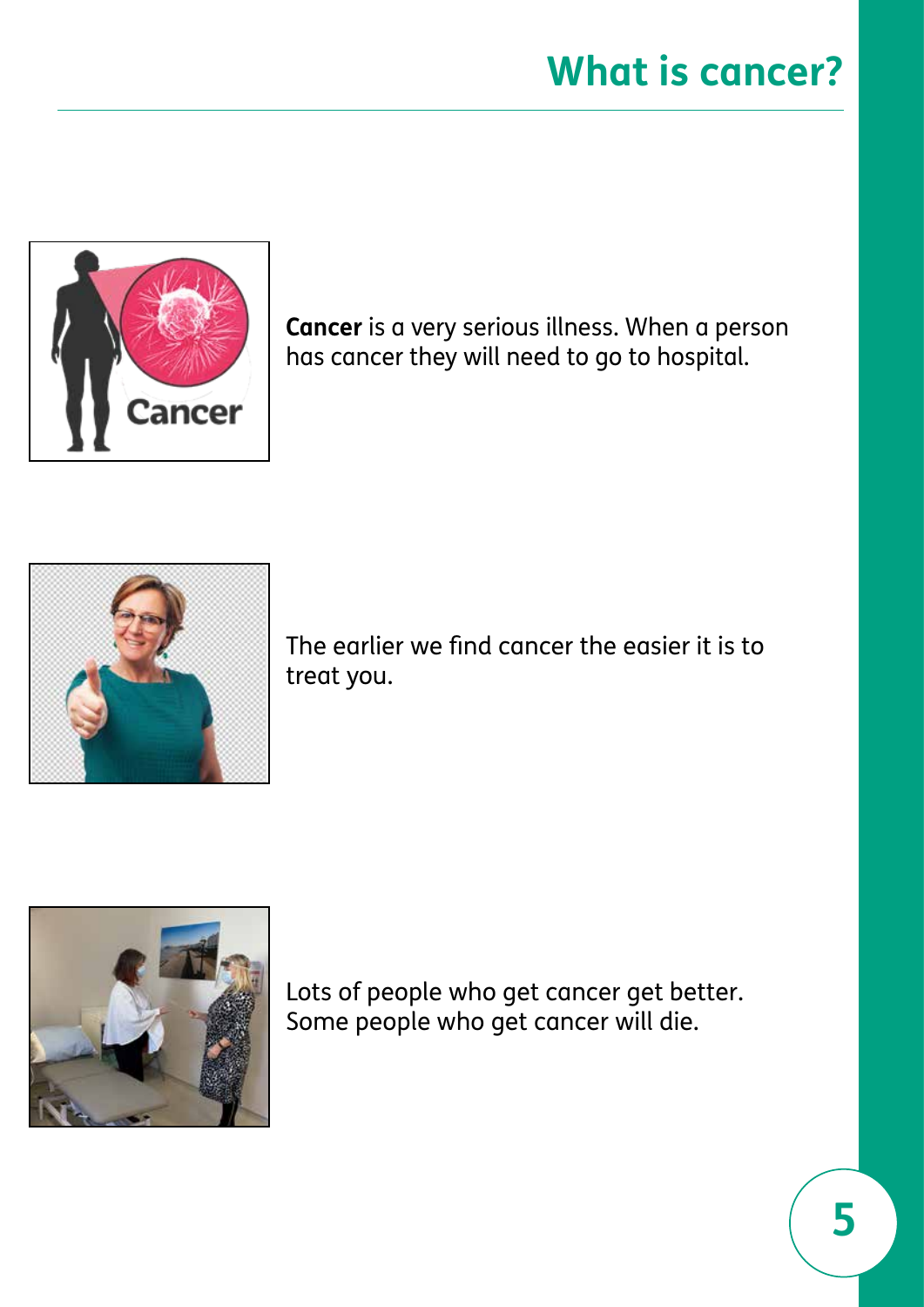<span id="page-4-0"></span>

**Cancer** is a very serious illness. When a person has cancer they will need to go to hospital.



The earlier we fnd cancer the easier it is to treat you.



Lots of people who get cancer get better. Some people who get cancer will die.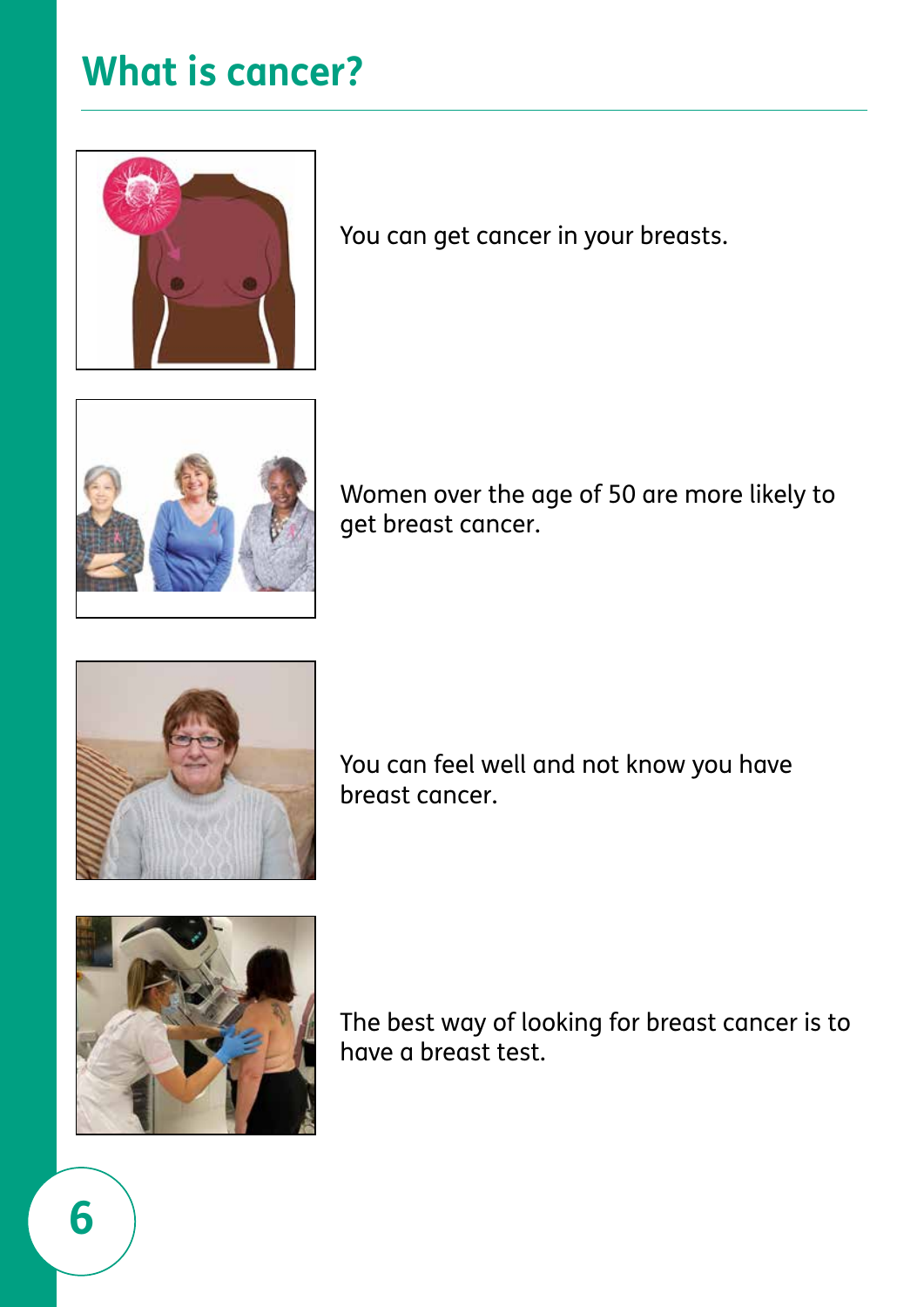#### **What is cancer?**



You can get cancer in your breasts.



Women over the age of 50 are more likely to get breast cancer.



You can feel well and not know you have breast cancer.



The best way of looking for breast cancer is to have a breast test.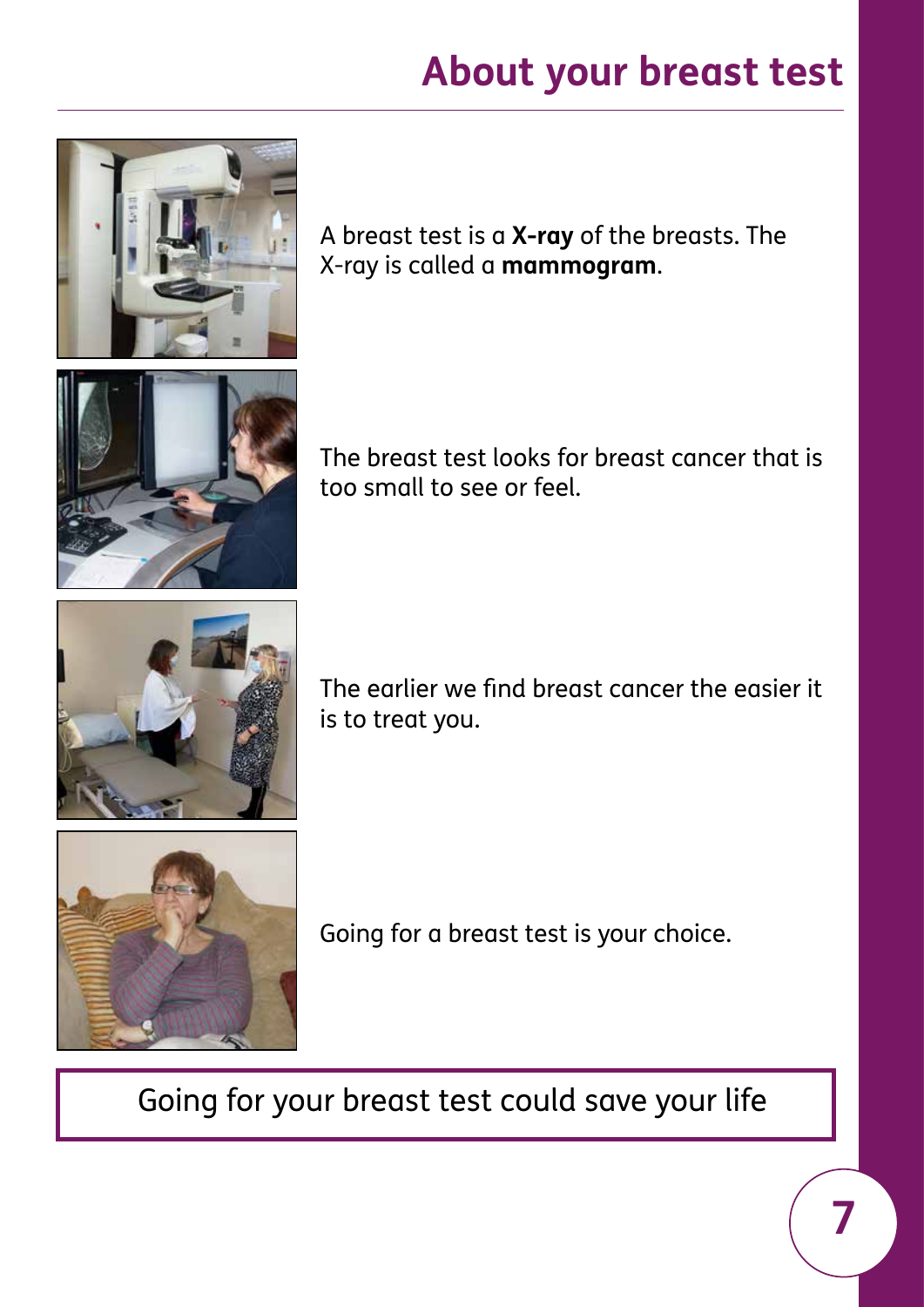<span id="page-6-0"></span>

A breast test is a **X-ray** of the breasts. The X-ray is called a **mammogram**.



The breast test looks for breast cancer that is too small to see or feel.



The earlier we fnd breast cancer the easier it is to treat you.



Going for a breast test is your choice.

Going for your breast test could save your life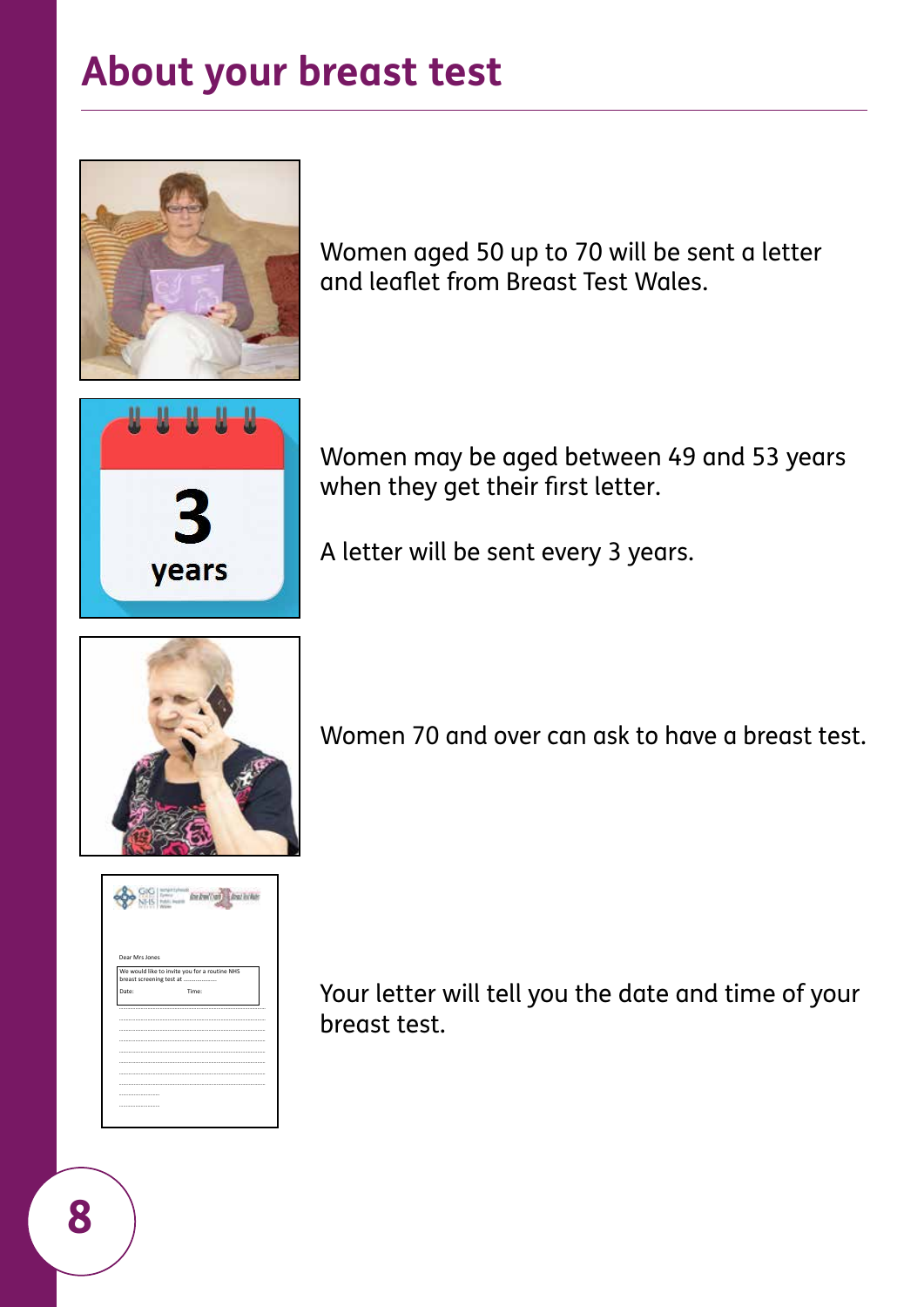

Women aged 50 up to 70 will be sent a letter and leafet from Breast Test Wales.



Women may be aged between 49 and 53 years when they get their first letter.

A letter will be sent every 3 years.





Women 70 and over can ask to have a breast test.

Your letter will tell you the date and time of your breast test.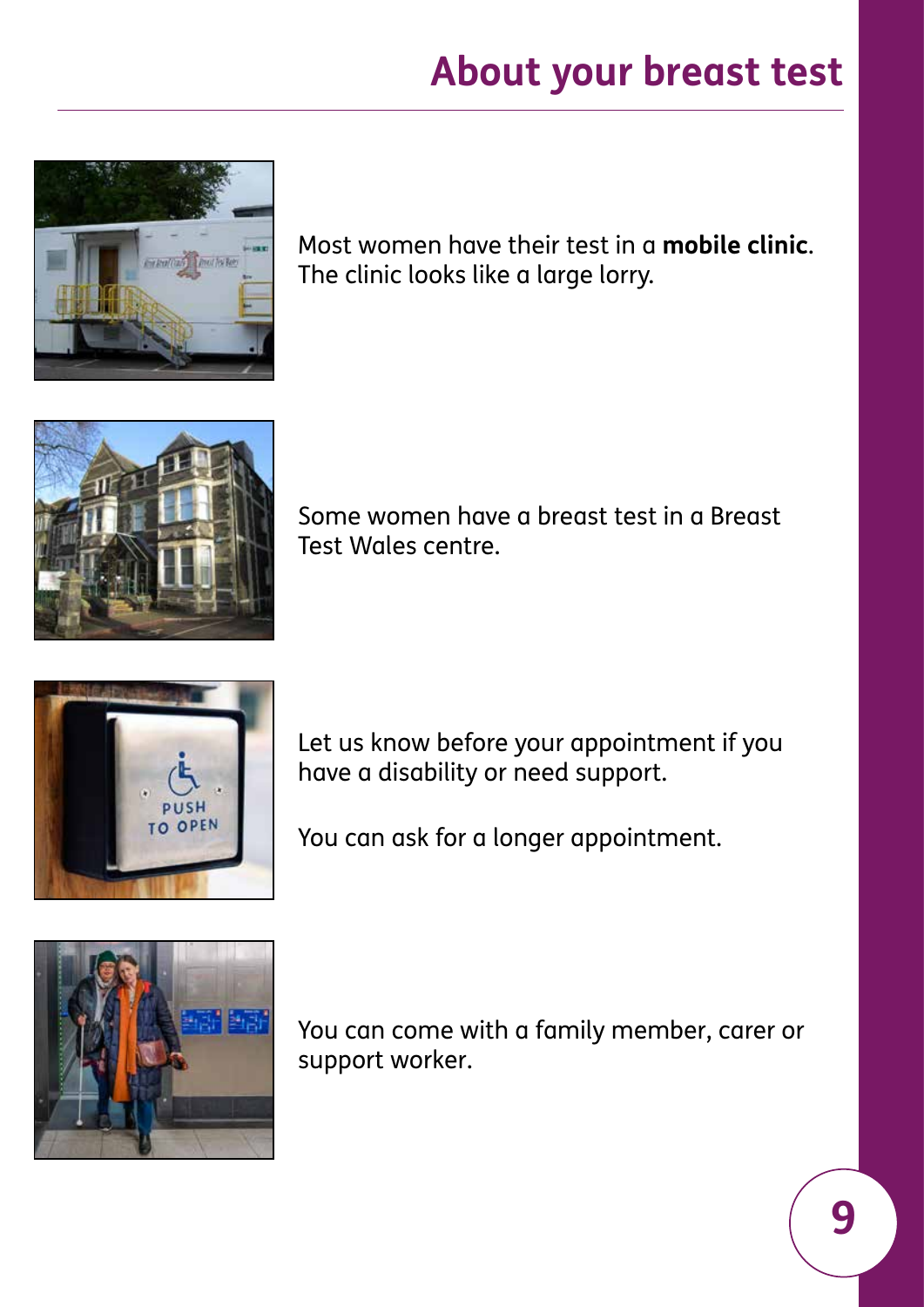

Most women have their test in a **mobile clinic**. The clinic looks like a large lorry.



Some women have a breast test in a Breast Test Wales centre.



Let us know before your appointment if you have a disability or need support.

You can ask for a longer appointment.



You can come with a family member, carer or support worker.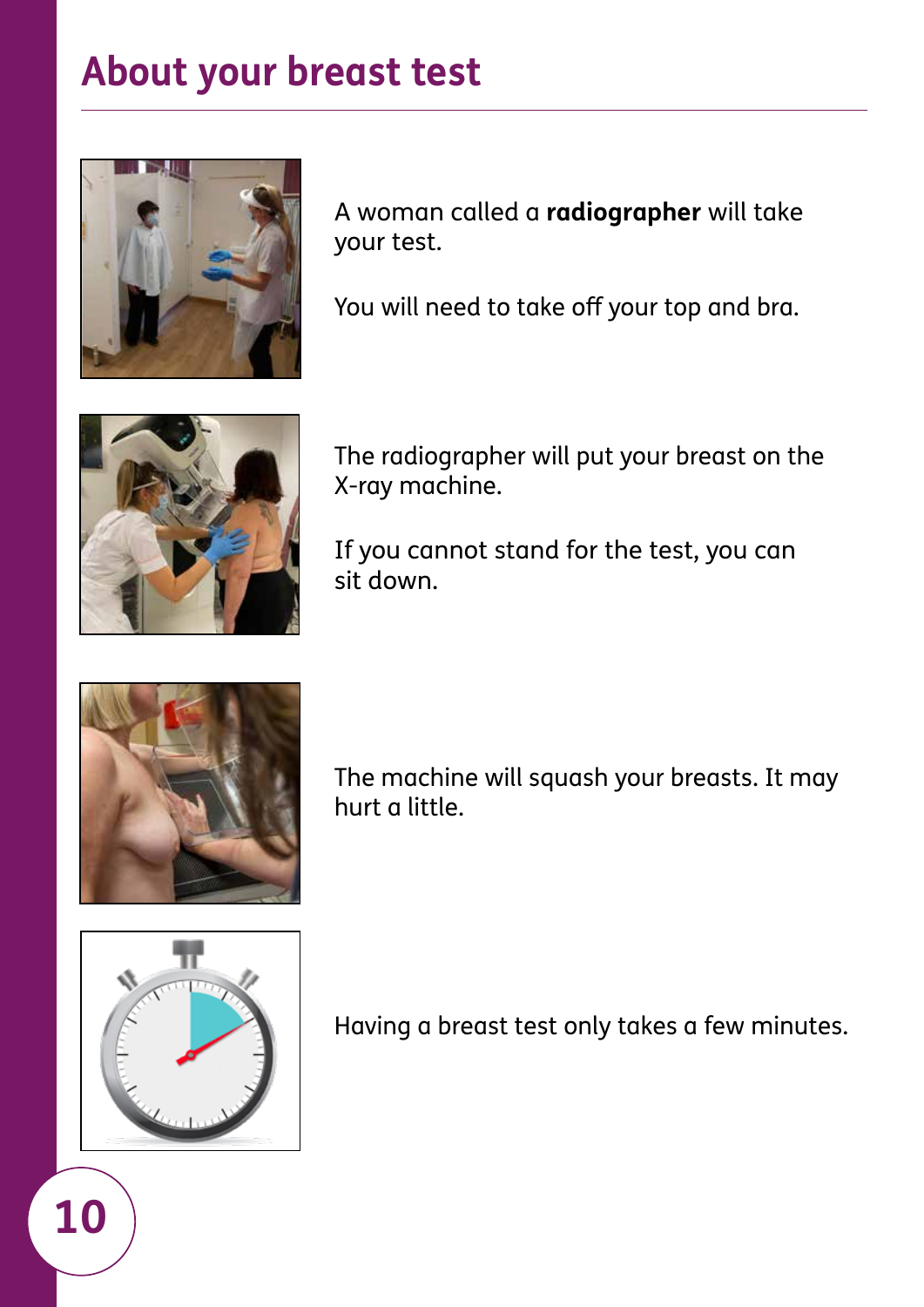

A woman called a **radiographer** will take your test.

You will need to take off your top and bra.



The radiographer will put your breast on the X-ray machine.

If you cannot stand for the test, you can sit down.



The machine will squash your breasts. It may hurt a little.



**10** 

Having a breast test only takes a few minutes.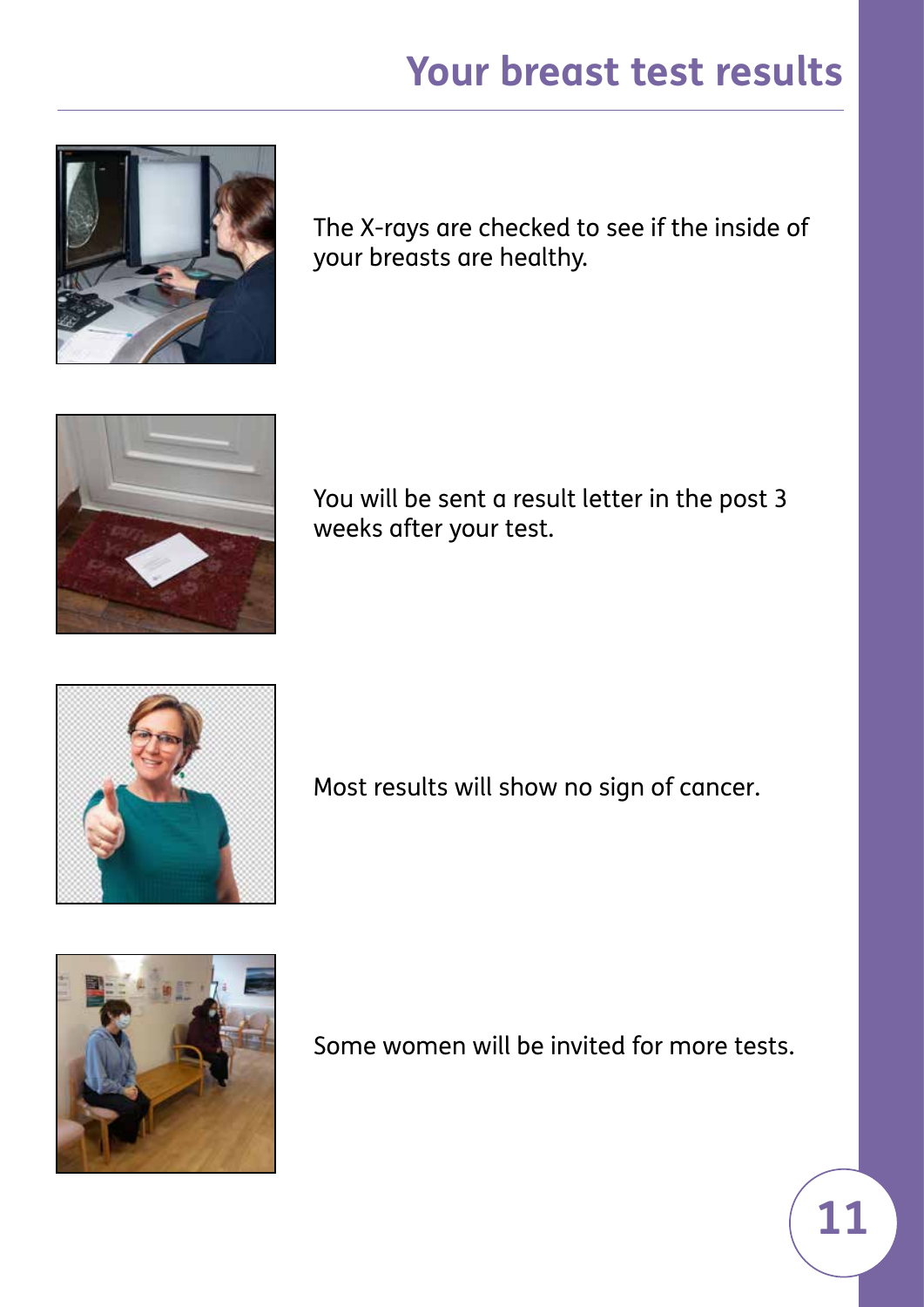# **Your breast test results**

<span id="page-10-0"></span>

The X-rays are checked to see if the inside of your breasts are healthy.



You will be sent a result letter in the post 3 weeks after your test.



Most results will show no sign of cancer.



Some women will be invited for more tests.

**11**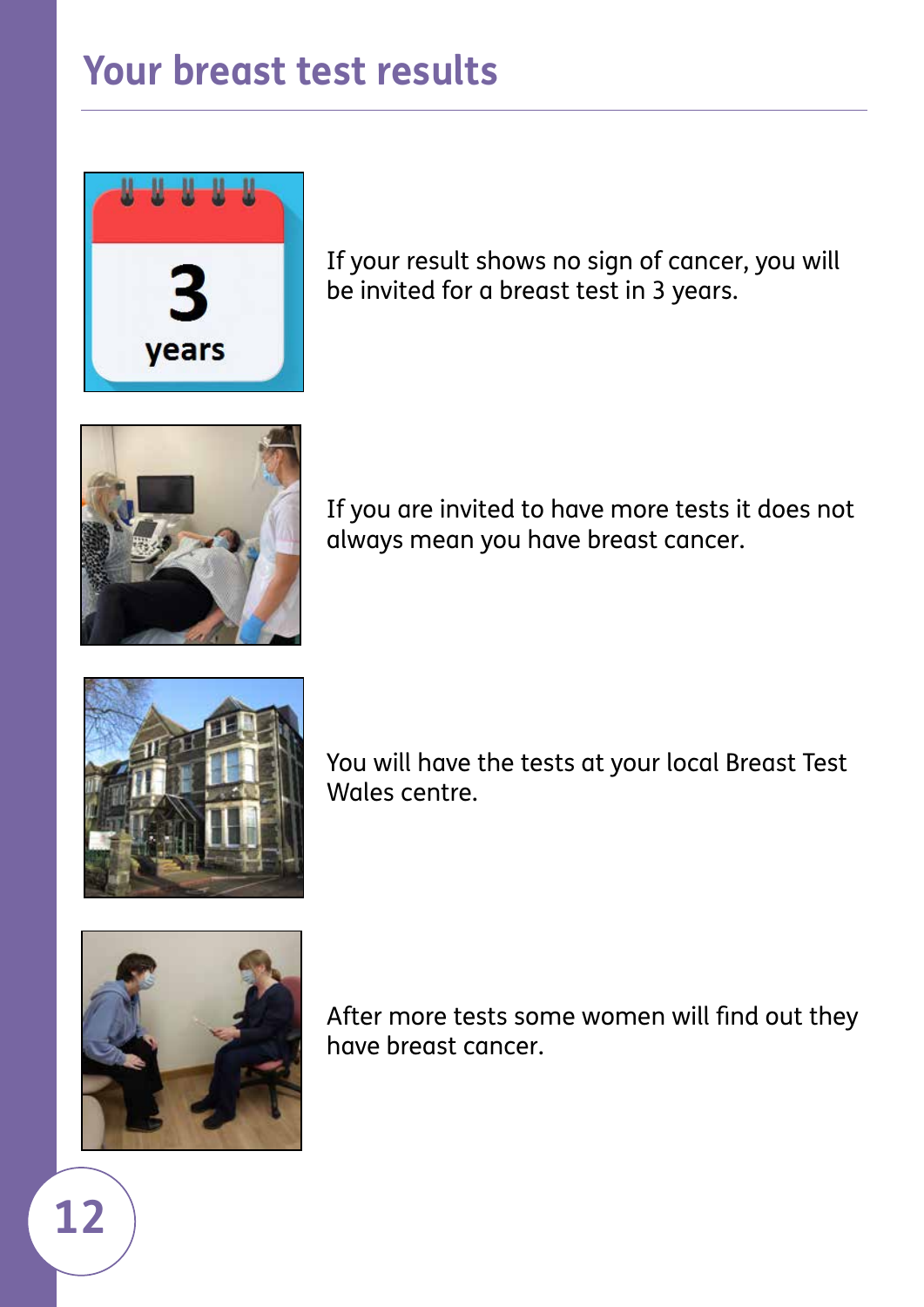#### **Your breast test results**



If your result shows no sign of cancer, you will be invited for a breast test in 3 years.



If you are invited to have more tests it does not always mean you have breast cancer.



You will have the tests at your local Breast Test Wales centre.



**12** 

After more tests some women will find out they have breast cancer.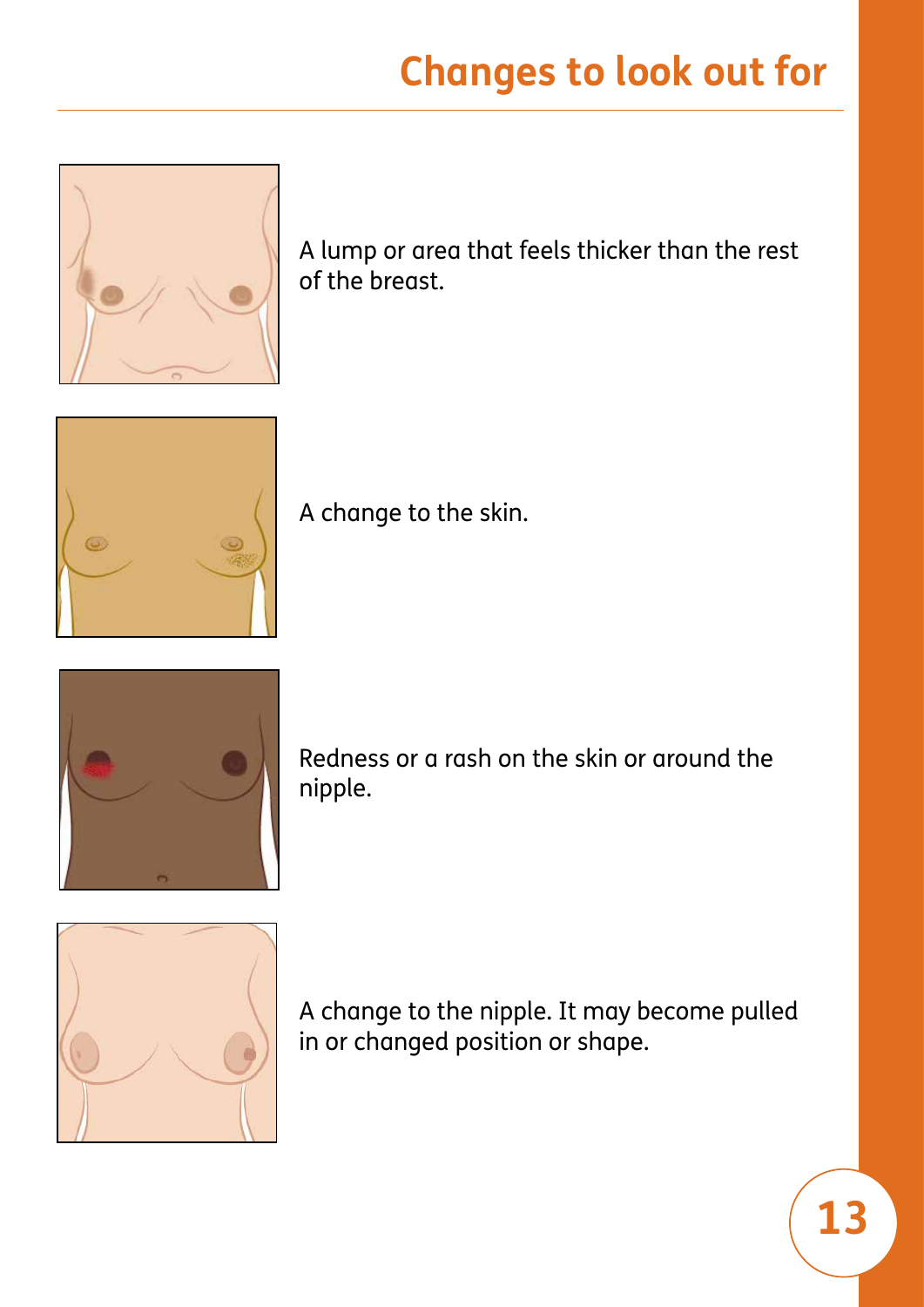# **Changes to look out for**

<span id="page-12-0"></span>

A lump or area that feels thicker than the rest of the breast.



A change to the skin.



Redness or a rash on the skin or around the nipple.



A change to the nipple. It may become pulled in or changed position or shape.

**13**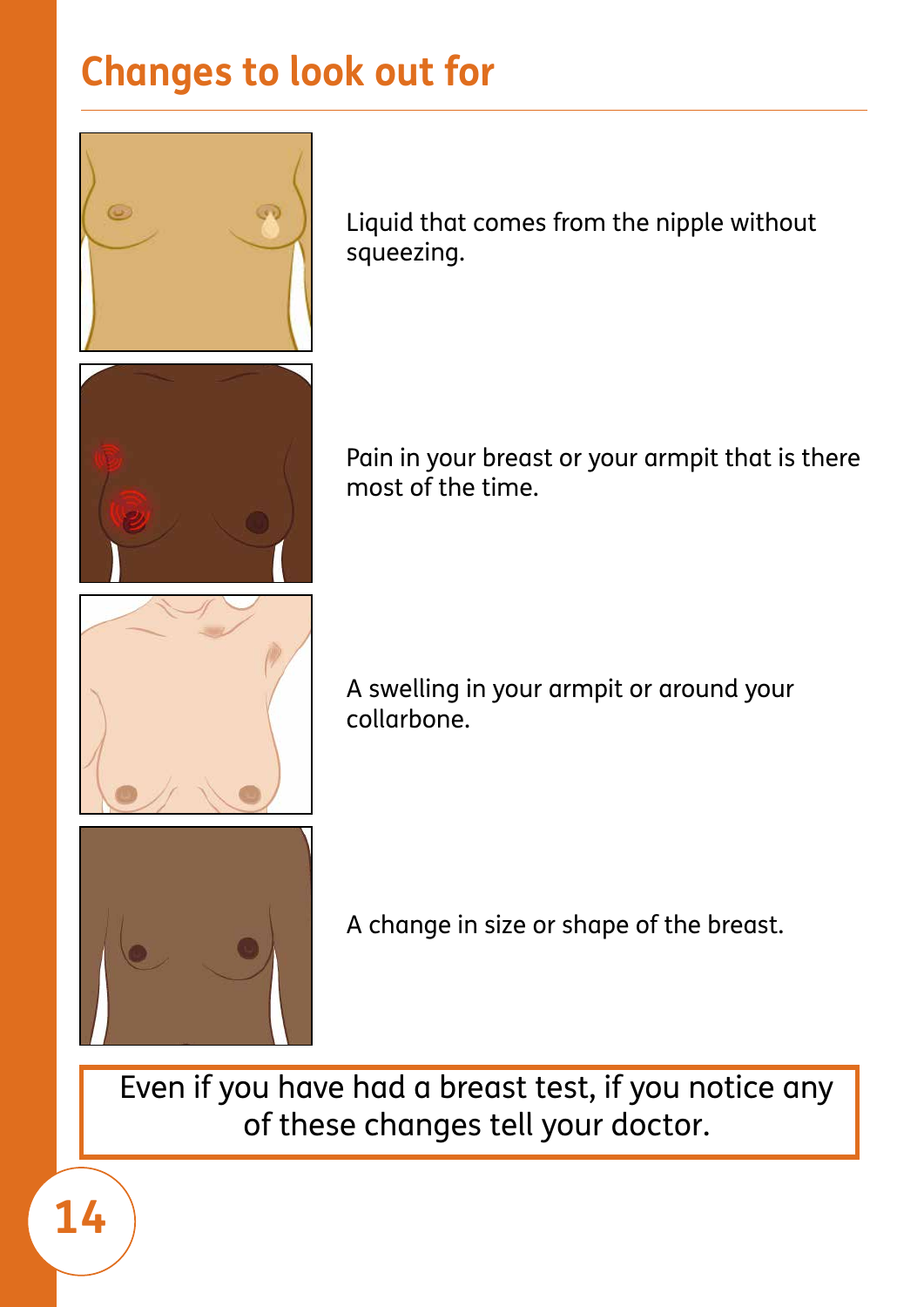# **Changes to look out for**



Liquid that comes from the nipple without squeezing.

Pain in your breast or your armpit that is there most of the time.

A swelling in your armpit or around your collarbone.



A change in size or shape of the breast.

Even if you have had a breast test, if you notice any of these changes tell your doctor.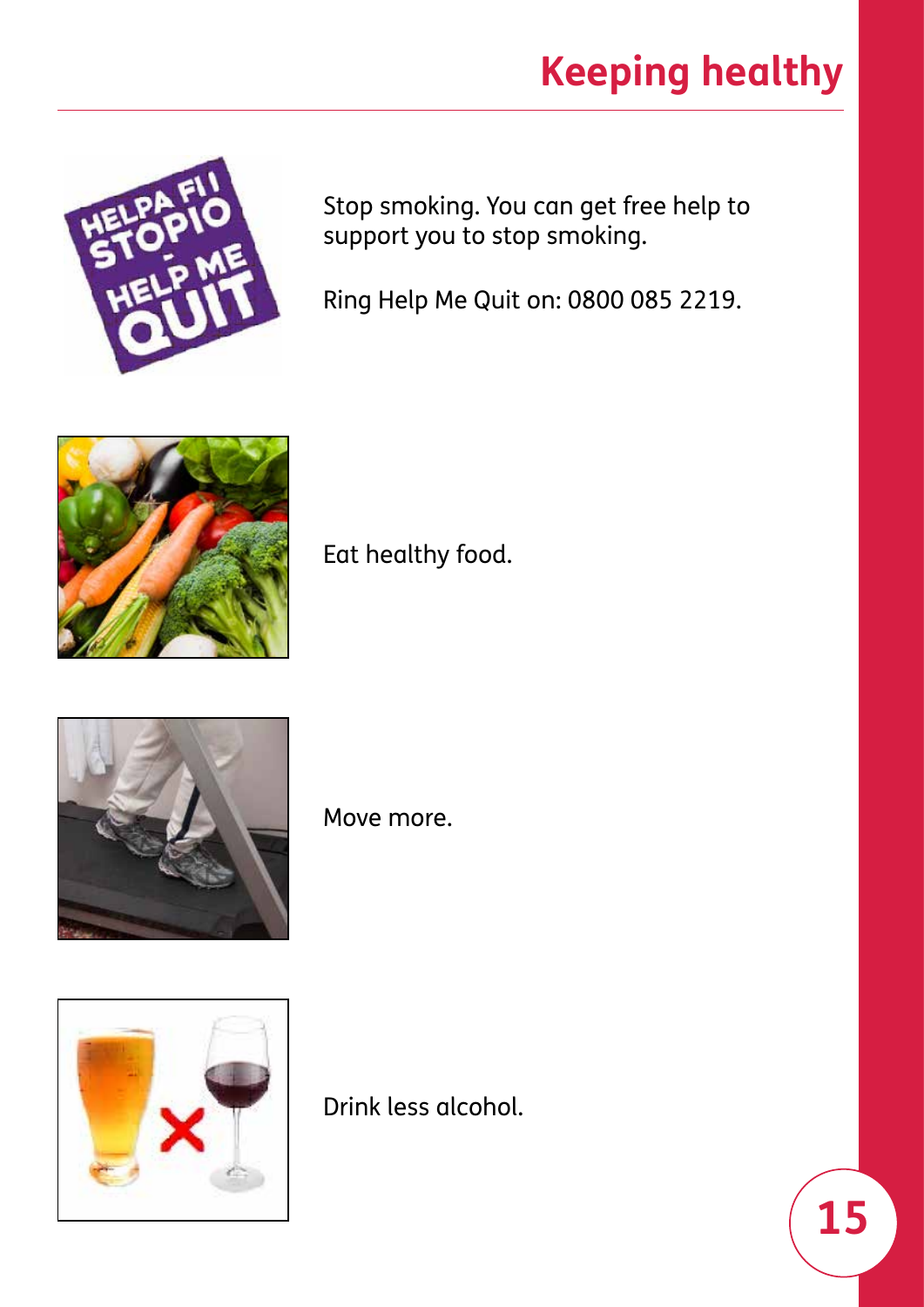# **Keeping healthy**

<span id="page-14-0"></span>

Stop smoking. You can get free help to support you to stop smoking.

Ring Help Me Quit on: 0800 085 2219.



Eat healthy food.



Move more.



Drink less alcohol.